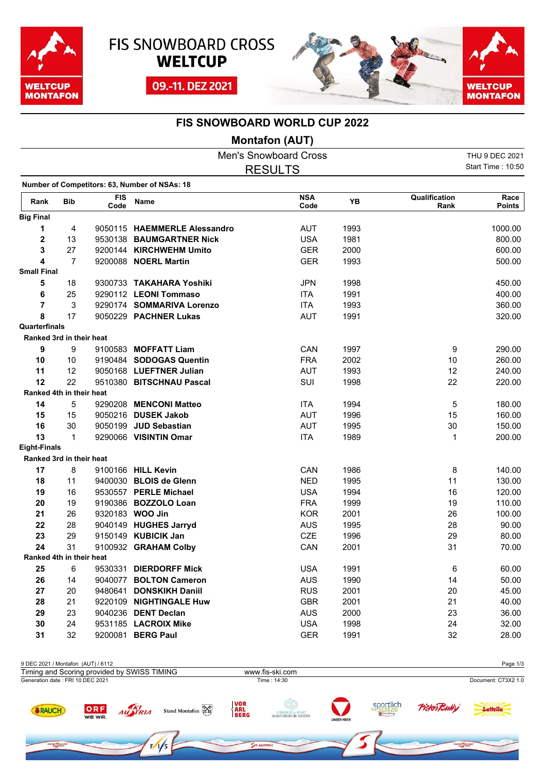





## **FIS SNOWBOARD WORLD CUP 2022**

## **Montafon (AUT)**

|                          |                |                    |                                               | <b>Men's Snowboard Cross</b> |      |                       | THU 9 DEC 2021        |
|--------------------------|----------------|--------------------|-----------------------------------------------|------------------------------|------|-----------------------|-----------------------|
|                          | <b>RESULTS</b> |                    |                                               |                              |      |                       |                       |
|                          |                |                    |                                               |                              |      |                       |                       |
|                          |                |                    | Number of Competitors: 63, Number of NSAs: 18 |                              |      |                       |                       |
| Rank                     | <b>Bib</b>     | <b>FIS</b><br>Code | Name                                          | <b>NSA</b><br>Code           | YB   | Qualification<br>Rank | Race<br><b>Points</b> |
| <b>Big Final</b>         |                |                    |                                               |                              |      |                       |                       |
| 1                        | 4              |                    | 9050115 HAEMMERLE Alessandro                  | <b>AUT</b>                   | 1993 |                       | 1000.00               |
| $\mathbf 2$              | 13             |                    | 9530138 BAUMGARTNER Nick                      | <b>USA</b>                   | 1981 |                       | 800.00                |
| 3                        | 27             |                    | 9200144 KIRCHWEHM Umito                       | <b>GER</b>                   | 2000 |                       | 600.00                |
| 4                        | $\overline{7}$ |                    | 9200088 NOERL Martin                          | <b>GER</b>                   | 1993 |                       | 500.00                |
| <b>Small Final</b>       |                |                    |                                               |                              |      |                       |                       |
| 5                        | 18             |                    | 9300733 TAKAHARA Yoshiki                      | <b>JPN</b>                   | 1998 |                       | 450.00                |
| 6                        | 25             |                    | 9290112 LEONI Tommaso                         | <b>ITA</b>                   | 1991 |                       | 400.00                |
| $\overline{\mathbf{r}}$  | 3              |                    | 9290174 SOMMARIVA Lorenzo                     | <b>ITA</b>                   | 1993 |                       | 360.00                |
| 8                        | 17             |                    | 9050229 PACHNER Lukas                         | <b>AUT</b>                   | 1991 |                       | 320.00                |
| Quarterfinals            |                |                    |                                               |                              |      |                       |                       |
| Ranked 3rd in their heat |                |                    |                                               |                              |      |                       |                       |
| 9                        | 9              |                    | 9100583 MOFFATT Liam                          | CAN                          | 1997 | 9                     | 290.00                |
| 10                       | 10             |                    | 9190484 SODOGAS Quentin                       | <b>FRA</b>                   | 2002 | $10$                  | 260.00                |
| 11                       | 12             |                    | 9050168 LUEFTNER Julian                       | <b>AUT</b>                   | 1993 | 12                    | 240.00                |
| 12                       | 22             |                    | 9510380 BITSCHNAU Pascal                      | SUI                          | 1998 | 22                    | 220.00                |
| Ranked 4th in their heat |                |                    |                                               |                              |      |                       |                       |
| 14                       | 5              |                    | 9290208 MENCONI Matteo                        | <b>ITA</b>                   | 1994 | 5                     | 180.00                |
| 15                       | 15             |                    | 9050216 DUSEK Jakob                           | <b>AUT</b>                   | 1996 | 15                    | 160.00                |
| 16                       | 30             |                    | 9050199 JUD Sebastian                         | <b>AUT</b>                   | 1995 | 30                    | 150.00                |
| 13                       | 1              |                    | 9290066 VISINTIN Omar                         | <b>ITA</b>                   | 1989 | $\mathbf 1$           | 200.00                |
| <b>Eight-Finals</b>      |                |                    |                                               |                              |      |                       |                       |
| Ranked 3rd in their heat |                |                    |                                               |                              |      |                       |                       |
| 17                       | 8              |                    | 9100166 HILL Kevin                            | CAN                          | 1986 | 8                     | 140.00                |
| 18                       | 11             |                    | 9400030 BLOIS de Glenn                        | <b>NED</b>                   | 1995 | 11                    | 130.00                |
| 19                       | 16             |                    | 9530557 PERLE Michael                         | <b>USA</b>                   | 1994 | 16                    | 120.00                |
| 20                       | 19             |                    | 9190386 BOZZOLO Loan                          | <b>FRA</b>                   | 1999 | 19                    | 110.00                |
| 21                       | 26             |                    | 9320183 WOO Jin                               | <b>KOR</b>                   | 2001 | 26                    | 100.00                |
| 22                       | 28             |                    | 9040149 HUGHES Jarryd                         | <b>AUS</b>                   | 1995 | 28                    | 90.00                 |
| 23                       | 29             |                    | 9150149 KUBICIK Jan                           | CZE                          | 1996 | 29                    | 80.00                 |
| 24                       | 31             |                    | 9100932 GRAHAM Colby                          | CAN                          | 2001 | 31                    | 70.00                 |
| Ranked 4th in their heat |                |                    |                                               |                              |      |                       |                       |
| 25                       | 6              |                    | 9530331 DIERDORFF Mick                        | <b>USA</b>                   | 1991 | 6                     | 60.00                 |
| 26                       | 14             |                    | 9040077 BOLTON Cameron                        | <b>AUS</b>                   | 1990 | 14                    | 50.00                 |
| 27                       | 20             |                    | 9480641 DONSKIKH Daniil                       | <b>RUS</b>                   | 2001 | 20                    | 45.00                 |
| 28                       | 21             |                    | 9220109 NIGHTINGALE Huw                       | <b>GBR</b>                   | 2001 | 21                    | 40.00                 |
| 29                       | 23             |                    | 9040236 DENT Declan                           | <b>AUS</b>                   | 2000 | 23                    | 36.00                 |
| 30                       | 24             |                    | 9531185 LACROIX Mike                          | <b>USA</b>                   | 1998 | 24                    | 32.00                 |
| 31                       | 32             |                    | 9200081 BERG Paul                             | <b>GER</b>                   | 1991 | 32                    | 28.00                 |

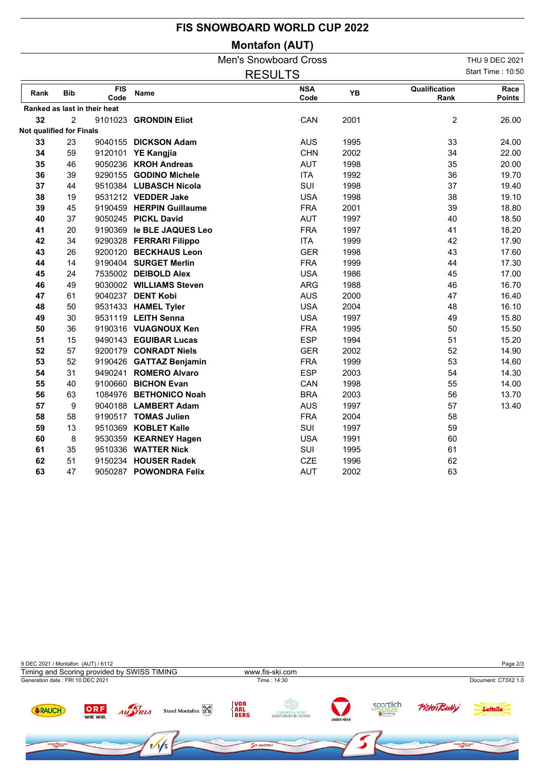## **FIS SNOWBOARD WORLD CUP 2022**

## **Montafon (AUT)**

|                          |            |                              |                           | THU 9 DEC 2021     |      |                       |                       |
|--------------------------|------------|------------------------------|---------------------------|--------------------|------|-----------------------|-----------------------|
|                          |            |                              |                           | <b>RESULTS</b>     |      |                       | Start Time: 10:50     |
| Rank                     | <b>Bib</b> | <b>FIS</b><br>Code           | <b>Name</b>               | <b>NSA</b><br>Code | YB   | Qualification<br>Rank | Race<br><b>Points</b> |
|                          |            | Ranked as last in their heat |                           |                    |      |                       |                       |
| 32                       | 2          |                              | 9101023 GRONDIN Eliot     | CAN                | 2001 | $\overline{c}$        | 26.00                 |
| Not qualified for Finals |            |                              |                           |                    |      |                       |                       |
| 33                       | 23         |                              | 9040155 DICKSON Adam      | <b>AUS</b>         | 1995 | 33                    | 24.00                 |
| 34                       | 59         |                              | 9120101 YE Kangjia        | <b>CHN</b>         | 2002 | 34                    | 22.00                 |
| 35                       | 46         |                              | 9050236 KROH Andreas      | <b>AUT</b>         | 1998 | 35                    | 20.00                 |
| 36                       | 39         |                              | 9290155 GODINO Michele    | <b>ITA</b>         | 1992 | 36                    | 19.70                 |
| 37                       | 44         |                              | 9510384 LUBASCH Nicola    | SUI                | 1998 | 37                    | 19.40                 |
| 38                       | 19         |                              | 9531212 VEDDER Jake       | <b>USA</b>         | 1998 | 38                    | 19.10                 |
| 39                       | 45         |                              | 9190459 HERPIN Guillaume  | <b>FRA</b>         | 2001 | 39                    | 18.80                 |
| 40                       | 37         |                              | 9050245 PICKL David       | <b>AUT</b>         | 1997 | 40                    | 18.50                 |
| 41                       | 20         |                              | 9190369 le BLE JAQUES Leo | <b>FRA</b>         | 1997 | 41                    | 18.20                 |
| 42                       | 34         |                              | 9290328 FERRARI Filippo   | <b>ITA</b>         | 1999 | 42                    | 17.90                 |
| 43                       | 26         |                              | 9200120 BECKHAUS Leon     | <b>GER</b>         | 1998 | 43                    | 17.60                 |
| 44                       | 14         |                              | 9190404 SURGET Merlin     | <b>FRA</b>         | 1999 | 44                    | 17.30                 |
| 45                       | 24         |                              | 7535002 DEIBOLD Alex      | <b>USA</b>         | 1986 | 45                    | 17.00                 |
| 46                       | 49         |                              | 9030002 WILLIAMS Steven   | <b>ARG</b>         | 1988 | 46                    | 16.70                 |
| 47                       | 61         |                              | 9040237 DENT Kobi         | <b>AUS</b>         | 2000 | 47                    | 16.40                 |
| 48                       | 50         |                              | 9531433 HAMEL Tyler       | <b>USA</b>         | 2004 | 48                    | 16.10                 |
| 49                       | 30         |                              | 9531119 LEITH Senna       | <b>USA</b>         | 1997 | 49                    | 15.80                 |
| 50                       | 36         |                              | 9190316 VUAGNOUX Ken      | <b>FRA</b>         | 1995 | 50                    | 15.50                 |
| 51                       | 15         |                              | 9490143 EGUIBAR Lucas     | <b>ESP</b>         | 1994 | 51                    | 15.20                 |
| 52                       | 57         |                              | 9200179 CONRADT Niels     | <b>GER</b>         | 2002 | 52                    | 14.90                 |
| 53                       | 52         |                              | 9190426 GATTAZ Benjamin   | <b>FRA</b>         | 1999 | 53                    | 14.60                 |
| 54                       | 31         |                              | 9490241 ROMERO Alvaro     | <b>ESP</b>         | 2003 | 54                    | 14.30                 |
| 55                       | 40         |                              | 9100660 BICHON Evan       | CAN                | 1998 | 55                    | 14.00                 |
| 56                       | 63         |                              | 1084976 BETHONICO Noah    | <b>BRA</b>         | 2003 | 56                    | 13.70                 |
| 57                       | 9          |                              | 9040188 LAMBERT Adam      | <b>AUS</b>         | 1997 | 57                    | 13.40                 |
| 58                       | 58         |                              | 9190517 TOMAS Julien      | <b>FRA</b>         | 2004 | 58                    |                       |
| 59                       | 13         |                              | 9510369 KOBLET Kalle      | SUI                | 1997 | 59                    |                       |
| 60                       | 8          |                              | 9530359 KEARNEY Hagen     | <b>USA</b>         | 1991 | 60                    |                       |
| 61                       | 35         |                              | 9510336 WATTER Nick       | SUI                | 1995 | 61                    |                       |
| 62                       | 51         |                              | 9150234 HOUSER Radek      | <b>CZE</b>         | 1996 | 62                    |                       |
| 63                       | 47         |                              | 9050287 POWONDRA Felix    | <b>AUT</b>         | 2002 | 63                    |                       |